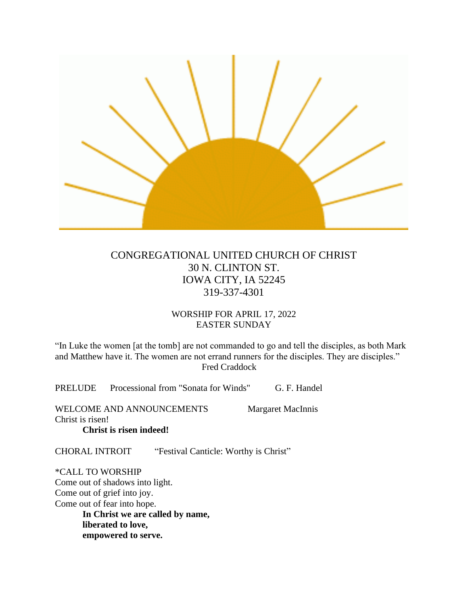

# CONGREGATIONAL UNITED CHURCH OF CHRIST 30 N. CLINTON ST. IOWA CITY, IA 52245 319-337-4301

# WORSHIP FOR APRIL 17, 2022 EASTER SUNDAY

"In Luke the women [at the tomb] are not commanded to go and tell the disciples, as both Mark and Matthew have it. The women are not errand runners for the disciples. They are disciples." Fred Craddock

PRELUDE Processional from "Sonata for Winds" G. F. Handel

WELCOME AND ANNOUNCEMENTS Margaret MacInnis Christ is risen! **Christ is risen indeed!**

CHORAL INTROIT "Festival Canticle: Worthy is Christ"

\*CALL TO WORSHIP Come out of shadows into light. Come out of grief into joy. Come out of fear into hope. **In Christ we are called by name, liberated to love, empowered to serve.**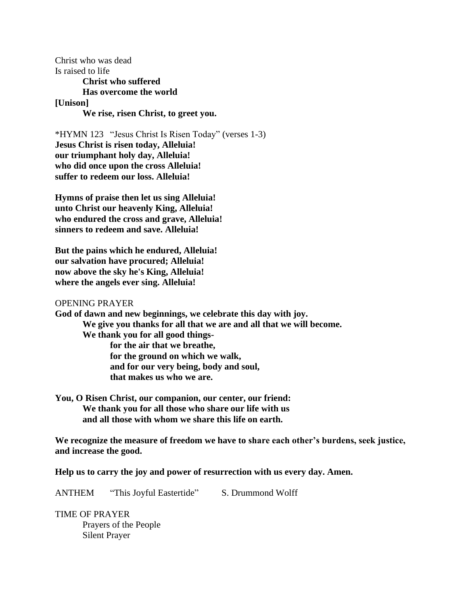Christ who was dead Is raised to life **Christ who suffered Has overcome the world [Unison] We rise, risen Christ, to greet you.**

\*HYMN 123 "Jesus Christ Is Risen Today" (verses 1-3) **Jesus Christ is risen today, Alleluia! our triumphant holy day, Alleluia! who did once upon the cross Alleluia! suffer to redeem our loss. Alleluia!**

**Hymns of praise then let us sing Alleluia! unto Christ our heavenly King, Alleluia! who endured the cross and grave, Alleluia! sinners to redeem and save. Alleluia!**

**But the pains which he endured, Alleluia! our salvation have procured; Alleluia! now above the sky he's King, Alleluia! where the angels ever sing. Alleluia!**

## OPENING PRAYER

**God of dawn and new beginnings, we celebrate this day with joy. We give you thanks for all that we are and all that we will become. We thank you for all good thingsfor the air that we breathe, for the ground on which we walk, and for our very being, body and soul, that makes us who we are.**

**You, O Risen Christ, our companion, our center, our friend: We thank you for all those who share our life with us and all those with whom we share this life on earth.**

**We recognize the measure of freedom we have to share each other's burdens, seek justice, and increase the good.**

**Help us to carry the joy and power of resurrection with us every day. Amen.**

ANTHEM "This Joyful Eastertide" S. Drummond Wolff

TIME OF PRAYER Prayers of the People Silent Prayer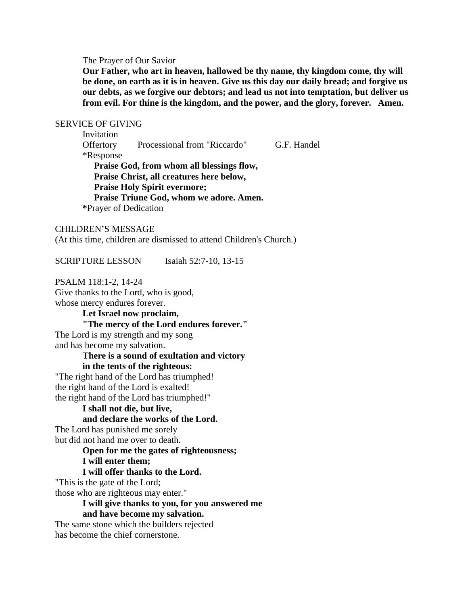#### The Prayer of Our Savior

**Our Father, who art in heaven, hallowed be thy name, thy kingdom come, thy will be done, on earth as it is in heaven. Give us this day our daily bread; and forgive us our debts, as we forgive our debtors; and lead us not into temptation, but deliver us from evil. For thine is the kingdom, and the power, and the glory, forever. Amen.**

#### SERVICE OF GIVING

Invitation Offertory Processional from "Riccardo" G.F. Handel \*Response **Praise God, from whom all blessings flow, Praise Christ, all creatures here below, Praise Holy Spirit evermore; Praise Triune God, whom we adore. Amen. \***Prayer of Dedication

#### CHILDREN'S MESSAGE

(At this time, children are dismissed to attend Children's Church.)

SCRIPTURE LESSON Isaiah 52:7-10, 13-15

PSALM 118:1-2, 14-24 Give thanks to the Lord, who is good,

whose mercy endures forever.

**Let Israel now proclaim, "The mercy of the Lord endures forever."** The Lord is my strength and my song and has become my salvation.

#### **There is a sound of exultation and victory**

#### **in the tents of the righteous:**

"The right hand of the Lord has triumphed! the right hand of the Lord is exalted! the right hand of the Lord has triumphed!"

## **I shall not die, but live,**

## **and declare the works of the Lord.**

The Lord has punished me sorely but did not hand me over to death.

# **Open for me the gates of righteousness;**

#### **I will enter them;**

#### **I will offer thanks to the Lord.**

"This is the gate of the Lord;

those who are righteous may enter."

## **I will give thanks to you, for you answered me and have become my salvation.**

The same stone which the builders rejected has become the chief cornerstone.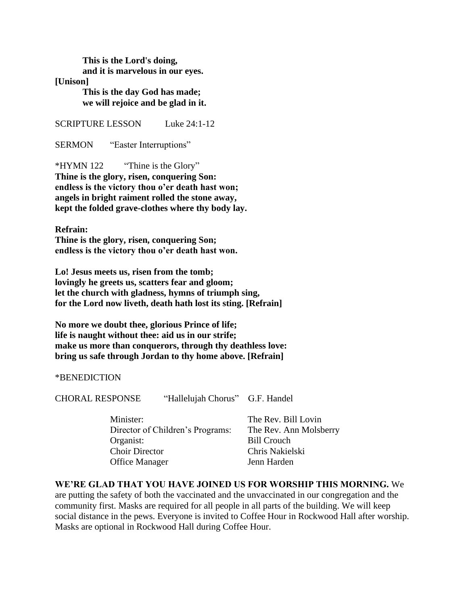**This is the Lord's doing, and it is marvelous in our eyes.**

**[Unison]**

**This is the day God has made; we will rejoice and be glad in it.**

SCRIPTURE LESSON Luke 24:1-12

SERMON "Easter Interruptions"

\*HYMN 122 "Thine is the Glory" **Thine is the glory, risen, conquering Son: endless is the victory thou o'er death hast won; angels in bright raiment rolled the stone away, kept the folded grave-clothes where thy body lay.**

**Refrain: Thine is the glory, risen, conquering Son; endless is the victory thou o'er death hast won.**

**Lo! Jesus meets us, risen from the tomb; lovingly he greets us, scatters fear and gloom; let the church with gladness, hymns of triumph sing, for the Lord now liveth, death hath lost its sting. [Refrain]**

**No more we doubt thee, glorious Prince of life; life is naught without thee: aid us in our strife; make us more than conquerors, through thy deathless love: bring us safe through Jordan to thy home above. [Refrain]**

\*BENEDICTION

CHORAL RESPONSE "Hallelujah Chorus" G.F. Handel

| Minister:                        |  |
|----------------------------------|--|
| Director of Children's Programs: |  |
| Organist:                        |  |
| <b>Choir Director</b>            |  |
| <b>Office Manager</b>            |  |

The Rev. Bill Lovin The Rev. Ann Molsberry **Bill Crouch** Chris Nakielski Jenn Harden

**WE'RE GLAD THAT YOU HAVE JOINED US FOR WORSHIP THIS MORNING.** We are putting the safety of both the vaccinated and the unvaccinated in our congregation and the community first. Masks are required for all people in all parts of the building. We will keep social distance in the pews. Everyone is invited to Coffee Hour in Rockwood Hall after worship. Masks are optional in Rockwood Hall during Coffee Hour.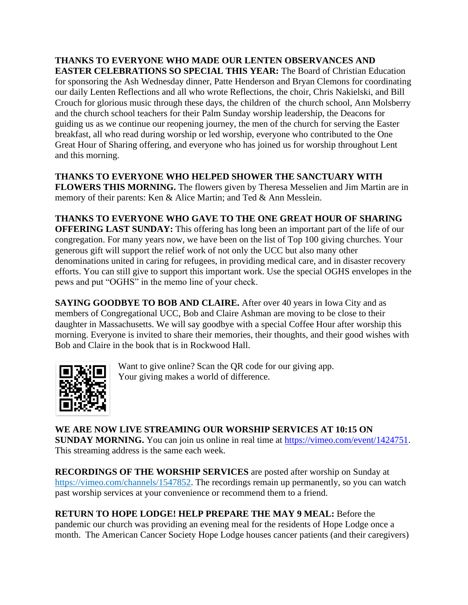**THANKS TO EVERYONE WHO MADE OUR LENTEN OBSERVANCES AND EASTER CELEBRATIONS SO SPECIAL THIS YEAR:** The Board of Christian Education for sponsoring the Ash Wednesday dinner, Patte Henderson and Bryan Clemons for coordinating our daily Lenten Reflections and all who wrote Reflections, the choir, Chris Nakielski, and Bill Crouch for glorious music through these days, the children of the church school, Ann Molsberry and the church school teachers for their Palm Sunday worship leadership, the Deacons for guiding us as we continue our reopening journey, the men of the church for serving the Easter breakfast, all who read during worship or led worship, everyone who contributed to the One Great Hour of Sharing offering, and everyone who has joined us for worship throughout Lent and this morning.

**THANKS TO EVERYONE WHO HELPED SHOWER THE SANCTUARY WITH FLOWERS THIS MORNING.** The flowers given by Theresa Messelien and Jim Martin are in memory of their parents: Ken & Alice Martin; and Ted & Ann Messlein.

**THANKS TO EVERYONE WHO GAVE TO THE ONE GREAT HOUR OF SHARING OFFERING LAST SUNDAY:** This offering has long been an important part of the life of our congregation. For many years now, we have been on the list of Top 100 giving churches. Your generous gift will support the relief work of not only the UCC but also many other denominations united in caring for refugees, in providing medical care, and in disaster recovery efforts. You can still give to support this important work. Use the special OGHS envelopes in the pews and put "OGHS" in the memo line of your check.

**SAYING GOODBYE TO BOB AND CLAIRE.** After over 40 years in Iowa City and as members of Congregational UCC, Bob and Claire Ashman are moving to be close to their daughter in Massachusetts. We will say goodbye with a special Coffee Hour after worship this morning. Everyone is invited to share their memories, their thoughts, and their good wishes with Bob and Claire in the book that is in Rockwood Hall.



Want to give online? Scan the QR code for our giving app. Your giving makes a world of difference.

**WE ARE NOW LIVE STREAMING OUR WORSHIP SERVICES AT 10:15 ON SUNDAY MORNING.** You can join us online in real time at [https://vimeo.com/event/1424751.](https://vimeo.com/event/1424751) This streaming address is the same each week.

**RECORDINGS OF THE WORSHIP SERVICES** are posted after worship on Sunday at [https://vimeo.com/channels/1547852.](https://vimeo.com/channels/1547852) The recordings remain up permanently, so you can watch past worship services at your convenience or recommend them to a friend.

**RETURN TO HOPE LODGE! HELP PREPARE THE MAY 9 MEAL:** Before the pandemic our church was providing an evening meal for the residents of Hope Lodge once a month. The American Cancer Society Hope Lodge houses cancer patients (and their caregivers)